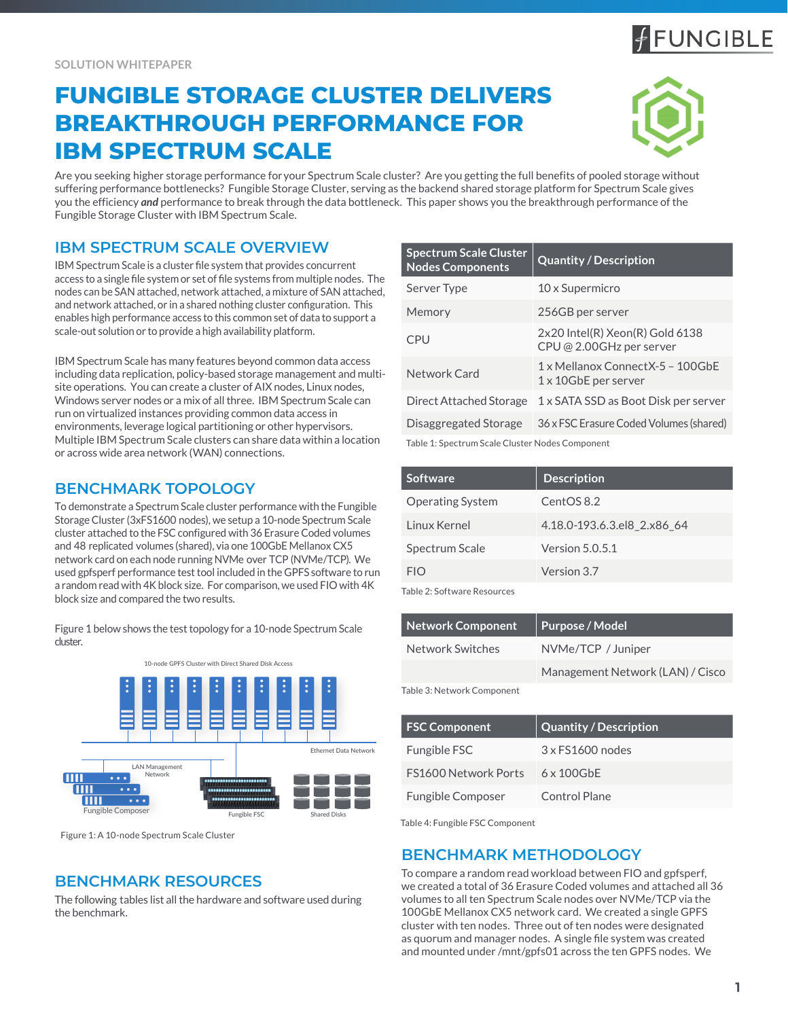# **FUNGIBLE STORAGE CLUSTER DELIVERS BREAKTHROUGH PERFORMANCE FOR IBM SPECTRUM SCALE**

Are you seeking higher storage performance for your Spectrum Scale cluster? Are you getting the full benefits of pooled storage without suffering performance bottlenecks? Fungible Storage Cluster, serving as the backend shared storage platform for Spectrum Scale gives you the efficiency *and* performance to break through the data bottleneck. This paper shows you the breakthrough performance of the Fungible Storage Cluster with IBM Spectrum Scale.

# **IBM SPECTRUM SCALE OVERVIEW**

IBM Spectrum Scale is a cluster file system that provides concurrent access to a single file system or set of file systems from multiple nodes. The nodes can be SAN attached, network attached, a mixture of SAN attached, and network attached, or in a shared nothing cluster configuration. This enables high performance access to this common set of data to support a scale-out solution or to provide a high availability platform.

IBM Spectrum Scale has many features beyond common data access including data replication, policy-based storage management and multisite operations. You can create a cluster of AIX nodes, Linux nodes, Windows server nodes or a mix of all three. IBM Spectrum Scale can run on virtualized instances providing common data access in environments, leverage logical partitioning or other hypervisors. Multiple IBM Spectrum Scale clusters can share data within a location or across wide area network (WAN) connections.

### **BENCHMARK TOPOLOGY**

To demonstrate a Spectrum Scale cluster performance with the Fungible Storage Cluster (3xFS1600 nodes), we setup a 10-node Spectrum Scale cluster attached to the FSC configured with 36 Erasure Coded volumes and 48 replicated volumes (shared), via one 100GbE MellanoxCX5 network card on each node running NVMe over TCP (NVMe/TCP). We used gpfsperf performance test tool included in the GPFS software to run a random read with 4K block size. For comparison, we used FIO with 4K block size and compared the two results.

Figure 1 below shows the test topology for a 10-node Spectrum Scale cluster.



Figure 1: A 10-node Spectrum Scale Cluster

# **BENCHMARK RESOURCES**

The following tables list all the hardware and software used during the benchmark.

| <b>Spectrum Scale Cluster</b><br><b>Nodes Components</b> | <b>Quantity / Description</b>                                     |  |  |
|----------------------------------------------------------|-------------------------------------------------------------------|--|--|
| Server Type                                              | 10 x Supermicro                                                   |  |  |
| Memory                                                   | 256GB per server                                                  |  |  |
| CPU                                                      | 2x20 Intel(R) Xeon(R) Gold 6138<br>CPU @ 2.00GHz per server       |  |  |
| Network Card                                             | 1 x Mellanox Connect X-5 - 100GbF<br>$1 \times 10$ GbE per server |  |  |
| Direct Attached Storage                                  | 1 x SATA SSD as Boot Disk per server                              |  |  |
| Disaggregated Storage                                    | 36 x FSC Erasure Coded Volumes (shared)                           |  |  |
| Table 1: Spectrum Scale Cluster Nodes Component          |                                                                   |  |  |

| Software                | <b>Description</b>          |
|-------------------------|-----------------------------|
| <b>Operating System</b> | CentOS 8.2                  |
| Linux Kernel            | 4.18.0-193.6.3.el8 2.x86 64 |
| Spectrum Scale          | Version $5.0.5.1$           |
| FIO                     | Version 3.7                 |

Table 2: Software Resources

| Network Component                       | Purpose / Model                  |
|-----------------------------------------|----------------------------------|
| Network Switches                        | NVMe/TCP / Juniper               |
|                                         | Management Network (LAN) / Cisco |
| $T_2$ lala Os Maturra ali Cananana anti |                                  |

Table 3: Network Component

| <b>FSC Component</b>        | Quantity / Description  |
|-----------------------------|-------------------------|
| Fungible FSC                | $3 \times$ FS1600 nodes |
| <b>FS1600 Network Ports</b> | $6 \times 100$ GbE      |
| Fungible Composer           | Control Plane           |

Table 4: Fungible FSC Component

# **BENCHMARK METHODOLOGY**

To compare a random read workload between FIO and gpfsperf, we created a total of 36 Erasure Coded volumes and attached all 36 volumes to all ten Spectrum Scale nodes over NVMe/TCP via the 100GbE Mellanox CX5 network card. We created a single GPFS cluster with ten nodes. Three out of ten nodes were designated as quorum and manager nodes. A single file system was created and mounted under /mnt/gpfs01 across the ten GPFS nodes. We

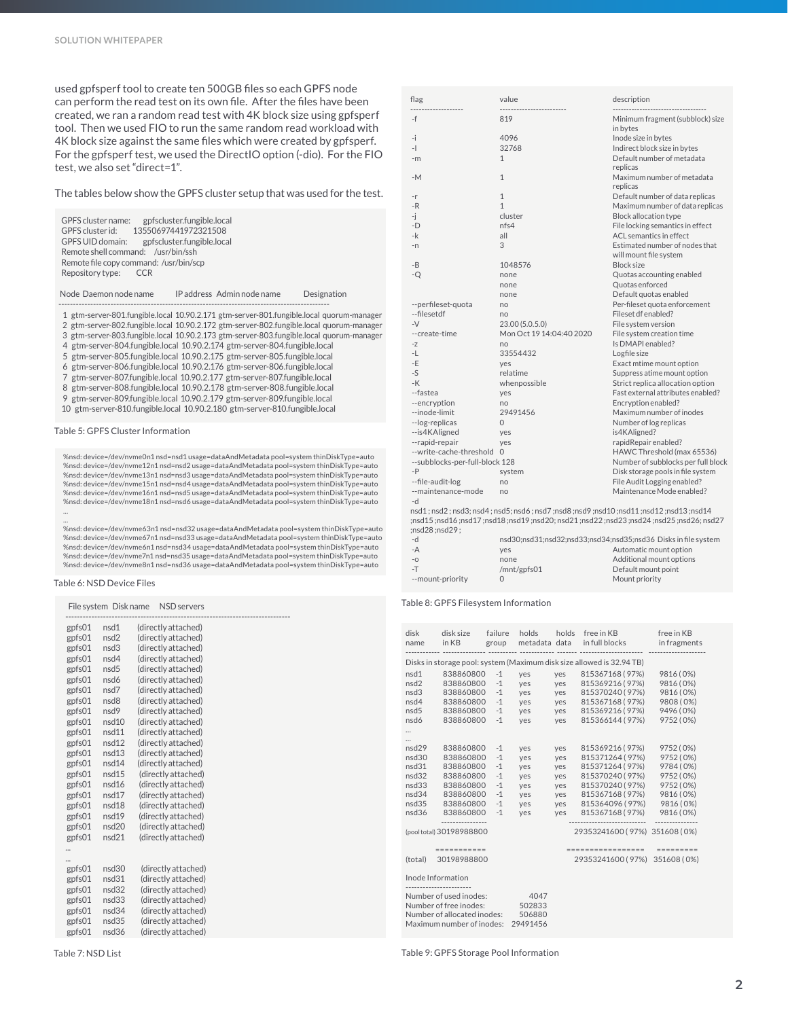used gpfsperf tool to create ten 500GB files so each GPFS node can perform the read test on its own file. After the files have been created, we ran a random read test with 4K block size using gpfsperf tool. Then we used FIO to run the same random read workload with 4K block size against the same files which were created by gpfsperf. For the gpfsperf test, we used the DirectIO option (-dio). For the FIO test, we also set "direct=1".

The tables below show the GPFS cluster setup that was used for the test.

|                                        | GPFS cluster name: gpfscluster.fungible.local |  |  |  |  |
|----------------------------------------|-----------------------------------------------|--|--|--|--|
|                                        | GPFS cluster id: 13550697441972321508         |  |  |  |  |
|                                        | GPFS UID domain: gpfscluster.fungible.local   |  |  |  |  |
| Remote shell command: /usr/bin/ssh     |                                               |  |  |  |  |
| Remote file copy command: /usr/bin/scp |                                               |  |  |  |  |
| Repository type: CCR                   |                                               |  |  |  |  |
|                                        |                                               |  |  |  |  |

Node Daemon node name IP address Admin node name Designation

----------------------------------------------------------------------------------------------

1 gtm-server-801.fungible.local 10.90.2.171 gtm-server-801.fungible.local quorum-manager

 2 gtm-server-802.fungible.local 10.90.2.172 gtm-server-802.fungible.local quorum-manager 3 gtm-server-803.fungible.local 10.90.2.173 gtm-server-803.fungible.local quorum-manager

4 gtm-server-804.fungible.local 10.90.2.174 gtm-server-804.fungible.local

5 gtm-server-805.fungible.local 10.90.2.175 gtm-server-805.fungible.local

6 gtm-server-806.fungible.local 10.90.2.176 gtm-server-806.fungible.local

7 gtm-server-807.fungible.local 10.90.2.177 gtm-server-807.fungible.local

8 gtm-server-808.fungible.local 10.90.2.178 gtm-server-808.fungible.local

9 gtm-server-809.fungible.local 10.90.2.179 gtm-server-809.fungible.local

10 gtm-server-810.fungible.local 10.90.2.180 gtm-server-810.fungible.local

Table 5: GPFS Cluster Information

%nsd: device=/dev/nvme0n1 nsd=nsd1 usage=dataAndMetadata pool=system thinDiskType=auto %nsd: device=/dev/nvme12n1 nsd=nsd2 usage=dataAndMetadata pool=system thinDiskType=auto %nsd: device=/dev/nvme13n1 nsd=nsd3 usage=dataAndMetadata pool=system thinDiskType=auto %nsd: device=/dev/nvme15n1 nsd=nsd4 usage=dataAndMetadata pool=system thinDiskType=auto %nsd: device=/dev/nvme16n1 nsd=nsd5 usage=dataAndMetadata pool=system thinDiskType=auto %nsd: device=/dev/nvme18n1 nsd=nsd6 usage=dataAndMetadata pool=system thinDiskType=auto ...

...<br>%nsd: device=/dev/nvme63n1 nsd=nsd32 usage=dataAndMetadata pool=system thinDiskType=auto<br>%nsd: device=/dev/nvme67n1 nsd=nsd33 usage=dataAndMetadata pool=system thinDiskType=auto %nsd: device=/dev/nvme6n1 nsd=nsd34 usage=dataAndMetadata pool=system thinDiskType=auto %nsd: device=/dev/nvme7n1 nsd=nsd35 usage=dataAndMetadata pool=system thinDiskType=auto %nsd: device=/dev/nvme8n1 nsd=nsd36 usage=dataAndMetadata pool=system thinDiskType=auto

#### Table 6: NSD Device Files

|        | File system Disk name | <b>NSD</b> servers  |
|--------|-----------------------|---------------------|
| gpfs01 | nsd1                  | (directly attached) |
| gpfs01 | nsd2                  | (directly attached) |
| gpfs01 | nsd3                  | (directly attached) |
| gpfs01 | nsd4                  | (directly attached) |
| gpfs01 | nsd <sub>5</sub>      | (directly attached) |
| gpfs01 | nsd6                  | (directly attached) |
| gpfs01 | nsd7                  | (directly attached) |
| gpfs01 | nsd8                  | (directly attached) |
| gpfs01 | nsd9                  | (directly attached) |
| gpfs01 | nsd10                 | (directly attached) |
| gpfs01 | nsd11                 | (directly attached) |
| gpfs01 | nsd12                 | (directly attached) |
| gpfs01 | nsd13                 | (directly attached) |
| gpfs01 | nsd14                 | (directly attached) |
| gpfs01 | nsd15                 | (directly attached) |
| gpfs01 | nsd16                 | (directly attached) |
| gpfs01 | nsd17                 | (directly attached) |
| gpfs01 | nsd18                 | (directly attached) |
| gpfs01 | nsd19                 | (directly attached) |
| gpfs01 | nsd20                 | (directly attached) |
| gpfs01 | nsd21                 | (directly attached) |
|        |                       |                     |
|        |                       |                     |
| gpfs01 | nsd30                 | (directly attached) |
| gpfs01 | nsd31                 | (directly attached) |
| gpfs01 | nsd32                 | (directly attached) |
| gpfs01 | nsd33                 | (directly attached) |
| gpfs01 | nsd34                 | (directly attached) |
| gpfs01 | nsd35                 | (directly attached) |
| gpfs01 | nsd36                 | (directly attached) |
|        |                       |                     |

| value<br>flag                     |                          | description                                          |  |
|-----------------------------------|--------------------------|------------------------------------------------------|--|
| $-f$                              | 819                      | Minimum fragment (subblock) size                     |  |
|                                   |                          | in bytes                                             |  |
| -i                                | 4096                     | Inode size in bytes                                  |  |
| $-1$                              | 32768                    | Indirect block size in bytes                         |  |
| $-m$                              | $\mathbf{1}$             | Default number of metadata                           |  |
|                                   |                          | replicas                                             |  |
| $-M$                              | $\mathbf{1}$             | Maximum number of metadata                           |  |
|                                   |                          | replicas                                             |  |
| $-r$                              | $\mathbf{1}$             | Default number of data replicas                      |  |
| $-R$                              | $\mathbf{1}$             | Maximum number of data replicas                      |  |
| -j                                | cluster                  | <b>Block allocation type</b>                         |  |
| $-D$                              | nfs4                     | File locking semantics in effect                     |  |
| -k                                | all                      | ACL semantics in effect                              |  |
| $-n$                              | 3                        | Estimated number of nodes that                       |  |
|                                   |                          | will mount file system                               |  |
| $-B$                              | 1048576                  | <b>Block size</b>                                    |  |
| $-Q$                              | none                     | Quotas accounting enabled                            |  |
|                                   | none                     | Quotas enforced<br>Default quotas enabled            |  |
|                                   | none                     |                                                      |  |
| --perfileset-quota<br>--filesetdf | no<br>no                 | Per-fileset quota enforcement<br>Fileset df enabled? |  |
| $-V$                              | 23.00 (5.0.5.0)          | File system version                                  |  |
| --create-time                     | Mon Oct 19 14:04:40 2020 | File system creation time                            |  |
| $-Z$                              | no                       | Is DMAPI enabled?                                    |  |
| $-L$                              | 33554432                 | Logfile size                                         |  |
| $-E$                              | ves                      | Exact mtime mount option                             |  |
| $-S$                              | relatime                 | Suppress atime mount option                          |  |
| $-K$                              | whenpossible             | Strict replica allocation option                     |  |
| --fastea                          | yes                      | Fast external attributes enabled?                    |  |
| --encryption                      | no                       | Encryption enabled?                                  |  |
| --inode-limit                     | 29491456                 | Maximum number of inodes                             |  |
| --log-replicas                    | $\mathbf{0}$             | Number of log replicas                               |  |
| --is4KAligned                     | yes                      | is4KAligned?                                         |  |
| --rapid-repair                    | yes                      | rapidRepair enabled?                                 |  |
| --write-cache-threshold 0         |                          | HAWC Threshold (max 65536)                           |  |
| --subblocks-per-full-block 128    |                          | Number of subblocks per full block                   |  |
| $-P$                              | system                   | Disk storage pools in file system                    |  |
| --file-audit-log                  | no                       | File Audit Logging enabled?                          |  |
| --maintenance-mode                | no                       | Maintenance Mode enabled?                            |  |
| -d                                |                          |                                                      |  |

 -d nsd1 ; nsd2 ; nsd3; nsd4 ; nsd5; nsd6 ; nsd7 ;nsd8 ;nsd9 ;nsd10 ;nsd11 ;nsd12 ;nsd13 ;nsd14 ;nsd15 ;nsd16 ;nsd17 ;nsd18 ;nsd19 ;nsd20; nsd21 ;nsd22 ;nsd23 ;nsd24 ;nsd25 ;nsd26; nsd27 ;nsd28 ;nsd29 ;

| $-d$             | nsd30;nsd31;nsd32;nsd33;nsd34;nsd35;nsd36 Disks in file system |                          |  |
|------------------|----------------------------------------------------------------|--------------------------|--|
| $-A$             | ves                                                            | Automatic mount option   |  |
| $-0$             | none                                                           | Additional mount options |  |
| $-T$             | /mnt/gpfs01                                                    | Default mount point      |  |
| --mount-priority |                                                                | Mount priority           |  |

Table 8: GPFS Filesystem Information

| disk<br>name                                                                                                                                         | disk size<br>in KB                                                    | failure<br>group | holds<br>metadata data | holds | free in KB<br>in full blocks | free in KB<br>in fragments |  |
|------------------------------------------------------------------------------------------------------------------------------------------------------|-----------------------------------------------------------------------|------------------|------------------------|-------|------------------------------|----------------------------|--|
|                                                                                                                                                      | Disks in storage pool: system (Maximum disk size allowed is 32.94 TB) |                  |                        |       |                              |                            |  |
| nsd1<br>838860800<br>$-1$<br>815367168 (97%)<br>yes<br>yes                                                                                           |                                                                       |                  |                        |       | 9816 (0%)                    |                            |  |
| nsd2                                                                                                                                                 | 838860800                                                             | $-1$             | yes                    | yes   | 815369216 (97%)              | 9816 (0%)                  |  |
| nsd3                                                                                                                                                 | 838860800                                                             | $-1$             | yes                    | yes   | 815370240 (97%)              | 9816 (0%)                  |  |
| nsd4                                                                                                                                                 | 838860800                                                             | $-1$             | yes                    | yes   | 815367168 (97%)              | 9808 (0%)                  |  |
| nsd5                                                                                                                                                 | 838860800                                                             | $-1$             | yes                    | yes   | 815369216 (97%)              | 9496 (0%)                  |  |
| nsd6                                                                                                                                                 | 838860800                                                             | $-1$             | yes                    | yes   | 815366144 (97%)              | 9752 (0%)                  |  |
|                                                                                                                                                      |                                                                       |                  |                        |       |                              |                            |  |
|                                                                                                                                                      |                                                                       |                  |                        |       |                              |                            |  |
| nsd29                                                                                                                                                | 838860800                                                             | $-1$             | yes                    | yes   | 815369216 (97%)              | 9752 (0%)                  |  |
| nsd30                                                                                                                                                | 838860800                                                             | $-1$             | yes                    | yes   | 815371264 (97%)              | 9752 (0%)                  |  |
| nsd31                                                                                                                                                | 838860800                                                             | $-1$             | yes                    | yes   | 815371264 ( 97%)             | 9784 (0%)                  |  |
| nsd32                                                                                                                                                | 838860800                                                             | $-1$             | yes                    | yes   | 815370240 (97%)              | 9752 (0%)                  |  |
| nsd33                                                                                                                                                | 838860800                                                             | $-1$             | yes                    | yes   | 815370240 (97%)              | 9752 (0%)                  |  |
| nsd34                                                                                                                                                | 838860800                                                             | $-1$             | yes                    | yes   | 815367168 (97%)              | 9816 (0%)                  |  |
| nsd35                                                                                                                                                | 838860800                                                             | $-1$             | yes                    | yes   | 815364096 (97%)              | 9816 (0%)                  |  |
| nsd36                                                                                                                                                | 838860800                                                             | $-1$             | yes                    | yes   | 815367168 (97%)              | 9816 (0%)                  |  |
|                                                                                                                                                      |                                                                       |                  |                        |       |                              |                            |  |
|                                                                                                                                                      | 29353241600 (97%) 351608 (0%)<br>(pool total) 30198988800             |                  |                        |       |                              |                            |  |
|                                                                                                                                                      | ===========                                                           |                  |                        |       | =================            | =========                  |  |
| (total)                                                                                                                                              | 30198988800                                                           |                  |                        |       | 29353241600 (97%)            | 351608 (0%)                |  |
| Inode Information                                                                                                                                    |                                                                       |                  |                        |       |                              |                            |  |
| Number of used inodes:<br>4047<br>Number of free inodes:<br>502833<br>Number of allocated inodes:<br>506880<br>Maximum number of inodes:<br>29491456 |                                                                       |                  |                        |       |                              |                            |  |

Table 7: NSD List Table 9: GPFS Storage Pool Information